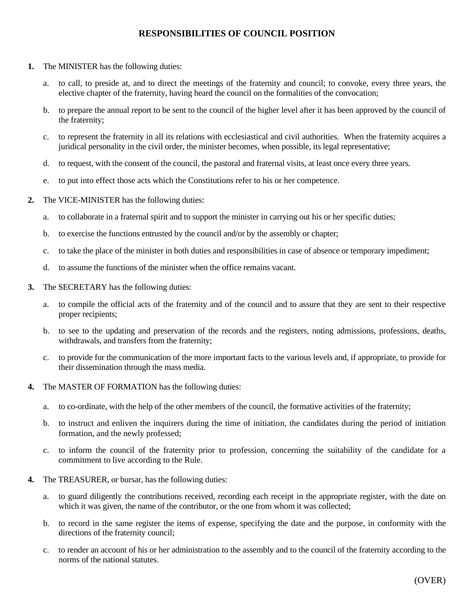## **RESPONSIBILITIES OF COUNCIL POSITION**

- **1.** The MINISTER has the following duties:
	- a. to call, to preside at, and to direct the meetings of the fraternity and council; to convoke, every three years, the elective chapter of the fraternity, having heard the council on the formalities of the convocation;
	- b. to prepare the annual report to be sent to the council of the higher level after it has been approved by the council of the fraternity;
	- c. to represent the fraternity in all its relations with ecclesiastical and civil authorities. When the fraternity acquires a juridical personality in the civil order, the minister becomes, when possible, its legal representative;
	- d. to request, with the consent of the council, the pastoral and fraternal visits, at least once every three years.
	- e. to put into effect those acts which the Constitutions refer to his or her competence.
- **2.** The VICE-MINISTER has the following duties:
	- a. to collaborate in a fraternal spirit and to support the minister in carrying out his or her specific duties;
	- b. to exercise the functions entrusted by the council and/or by the assembly or chapter;
	- c. to take the place of the minister in both duties and responsibilities in case of absence or temporary impediment;
	- d. to assume the functions of the minister when the office remains vacant.
- **3.** The SECRETARY has the following duties:
	- a. to compile the official acts of the fraternity and of the council and to assure that they are sent to their respective proper recipients;
	- b. to see to the updating and preservation of the records and the registers, noting admissions, professions, deaths, withdrawals, and transfers from the fraternity;
	- c. to provide for the communication of the more important facts to the various levels and, if appropriate, to provide for their dissemination through the mass media.
- **4.** The MASTER OF FORMATION has the following duties:
	- a. to co-ordinate, with the help of the other members of the council, the formative activities of the fraternity;
	- b. to instruct and enliven the inquirers during the time of initiation, the candidates during the period of initiation formation, and the newly professed;
	- c. to inform the council of the fraternity prior to profession, concerning the suitability of the candidate for a commitment to live according to the Rule.
- **4.** The TREASURER, or bursar, has the following duties:
	- a. to guard diligently the contributions received, recording each receipt in the appropriate register, with the date on which it was given, the name of the contributor, or the one from whom it was collected;
	- b. to record in the same register the items of expense, specifying the date and the purpose, in conformity with the directions of the fraternity council;
	- c. to render an account of his or her administration to the assembly and to the council of the fraternity according to the norms of the national statutes.